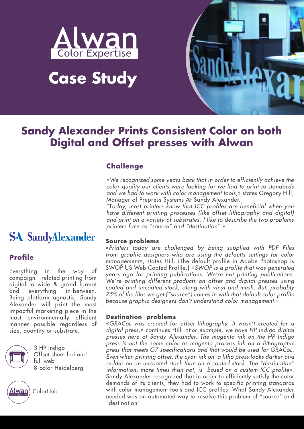

# **Case Study**



### **Sandy Alexander Prints Consistent Color on both Digital and Offset presses with Alwan**

#### **Challenge**

«*We recognized some years back that in order to efficiently achieve the color quality our clients were looking for we had to print to standards and we had to work with color management tools*,» states Gregory Hill, Manager of Prepress Systems At Sandy Alexander.

"T*oday, most printers know that ICC profiles are beneficial when you have different printing processes (like offset lithography and digital) and print on a variety of substrates. I like to describe the two problems printers face as "source" and "destination*".»

#### **Source problems**

«*Printers today are challenged by being supplied with PDF Files from graphic designers who are using the defaults settings for color management*», states Hill. (The default profile in Adobe Photoshop is SWOP US Web Coated Profile.) «*SWOP is a profile that was generated years ago for printing publications. We're not printing publications. We're printing different products on offset and digital presses using coated and uncoated stock, along with vinyl and mesh. But, probably 75% of the files we get ("source") comes in with that default color profile because graphic designers don't understand color management.*»

#### **Destination problems**

«*GRACoL was created for offset lithography. It wasn't created for a digital press*,» continues Hill. «*For example, we have HP Indigo digital presses here at Sandy Alexander. The magenta ink on the HP Indigo press is not the same color as magenta process ink on a lithographic press that meets G7 specifications and that would be used for GRACoL. Even when printing offset, the cyan ink on a litho press looks darker and redder on an uncoated stock than on a coated stock. The "destination" information, more times than not, is based on a custom ICC profile*». Sandy Alexander recognized that in order to efficiently satisfy the color demands of its clients, they had to work to specific printing standards with color management tools and ICC profiles. What Sandy Alexander needed was an automated way to resolve this problem of "source" and "destination".

## **SA SandyAlexander**

#### **Profile**

Everything in the way of campaign - related printing from digital to wide & grand format and everything in-between. Being platform agnostic, Sandy Alexander will print the most impactful marketing piece in the most environmentally efficient manner possible regardless of size, quantity or substrate.



3 HP Indigo Offset sheet fed and full web 8-color Heidelberg